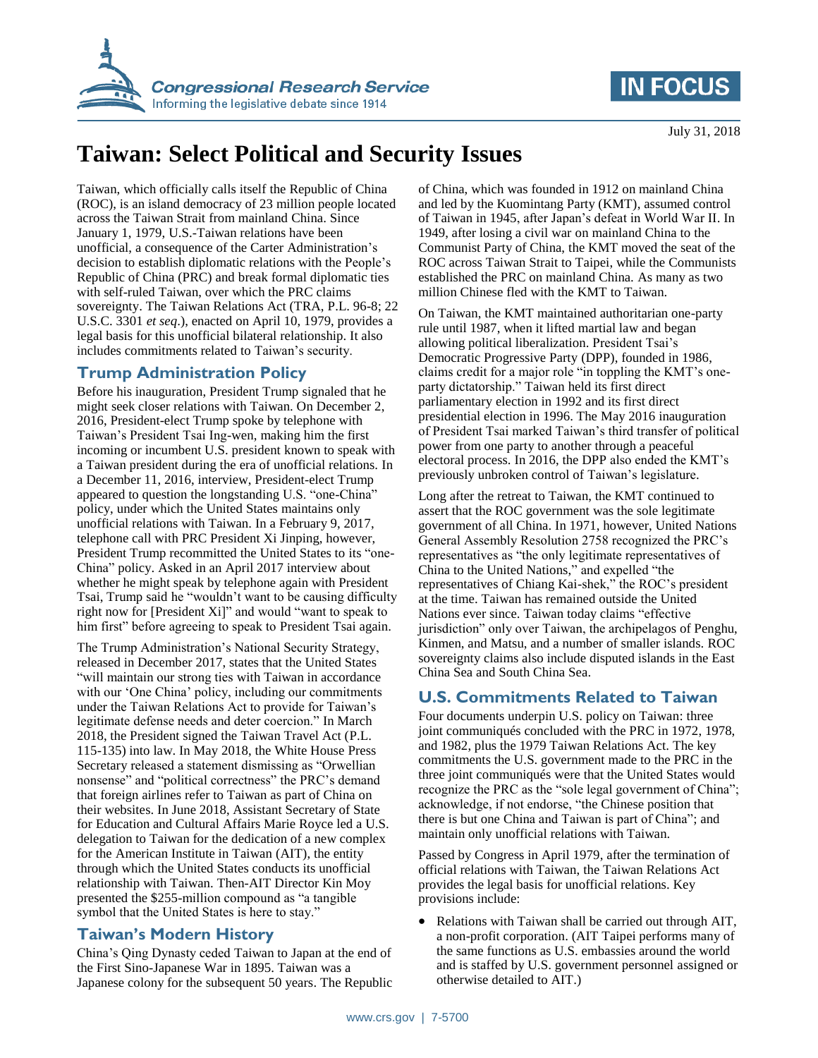



# **Taiwan: Select Political and Security Issues**

Taiwan, which officially calls itself the Republic of China (ROC), is an island democracy of 23 million people located across the Taiwan Strait from mainland China. Since January 1, 1979, U.S.-Taiwan relations have been unofficial, a consequence of the Carter Administration's decision to establish diplomatic relations with the People's Republic of China (PRC) and break formal diplomatic ties with self-ruled Taiwan, over which the PRC claims sovereignty. The Taiwan Relations Act (TRA, P.L. 96-8; 22 U.S.C. 3301 *et seq*.), enacted on April 10, 1979, provides a legal basis for this unofficial bilateral relationship. It also includes commitments related to Taiwan's security.

## **Trump Administration Policy**

Before his inauguration, President Trump signaled that he might seek closer relations with Taiwan. On December 2, 2016, President-elect Trump spoke by telephone with Taiwan's President Tsai Ing-wen, making him the first incoming or incumbent U.S. president known to speak with a Taiwan president during the era of unofficial relations. In a December 11, 2016, interview, President-elect Trump appeared to question the longstanding U.S. "one-China" policy, under which the United States maintains only unofficial relations with Taiwan. In a February 9, 2017, telephone call with PRC President Xi Jinping, however, President Trump recommitted the United States to its "one-China" policy. Asked in an April 2017 interview about whether he might speak by telephone again with President Tsai, Trump said he "wouldn't want to be causing difficulty right now for [President Xi]" and would "want to speak to him first" before agreeing to speak to President Tsai again.

The Trump Administration's National Security Strategy, released in December 2017, states that the United States "will maintain our strong ties with Taiwan in accordance with our 'One China' policy, including our commitments under the Taiwan Relations Act to provide for Taiwan's legitimate defense needs and deter coercion." In March 2018, the President signed the Taiwan Travel Act (P.L. 115-135) into law. In May 2018, the White House Press Secretary released a statement dismissing as "Orwellian nonsense" and "political correctness" the PRC's demand that foreign airlines refer to Taiwan as part of China on their websites. In June 2018, Assistant Secretary of State for Education and Cultural Affairs Marie Royce led a U.S. delegation to Taiwan for the dedication of a new complex for the American Institute in Taiwan (AIT), the entity through which the United States conducts its unofficial relationship with Taiwan. Then-AIT Director Kin Moy presented the \$255-million compound as "a tangible symbol that the United States is here to stay."

## **Taiwan's Modern History**

China's Qing Dynasty ceded Taiwan to Japan at the end of the First Sino-Japanese War in 1895. Taiwan was a Japanese colony for the subsequent 50 years. The Republic of China, which was founded in 1912 on mainland China and led by the Kuomintang Party (KMT), assumed control of Taiwan in 1945, after Japan's defeat in World War II. In 1949, after losing a civil war on mainland China to the Communist Party of China, the KMT moved the seat of the ROC across Taiwan Strait to Taipei, while the Communists established the PRC on mainland China. As many as two million Chinese fled with the KMT to Taiwan.

On Taiwan, the KMT maintained authoritarian one-party rule until 1987, when it lifted martial law and began allowing political liberalization. President Tsai's Democratic Progressive Party (DPP), founded in 1986, claims credit for a major role "in toppling the KMT's oneparty dictatorship." Taiwan held its first direct parliamentary election in 1992 and its first direct presidential election in 1996. The May 2016 inauguration of President Tsai marked Taiwan's third transfer of political power from one party to another through a peaceful electoral process. In 2016, the DPP also ended the KMT's previously unbroken control of Taiwan's legislature.

Long after the retreat to Taiwan, the KMT continued to assert that the ROC government was the sole legitimate government of all China. In 1971, however, United Nations General Assembly Resolution 2758 recognized the PRC's representatives as "the only legitimate representatives of China to the United Nations," and expelled "the representatives of Chiang Kai-shek," the ROC's president at the time. Taiwan has remained outside the United Nations ever since. Taiwan today claims "effective jurisdiction" only over Taiwan, the archipelagos of Penghu, Kinmen, and Matsu, and a number of smaller islands. ROC sovereignty claims also include disputed islands in the East China Sea and South China Sea.

## **U.S. Commitments Related to Taiwan**

Four documents underpin U.S. policy on Taiwan: three joint communiqués concluded with the PRC in 1972, 1978, and 1982, plus the 1979 Taiwan Relations Act. The key commitments the U.S. government made to the PRC in the three joint communiqués were that the United States would recognize the PRC as the "sole legal government of China"; acknowledge, if not endorse, "the Chinese position that there is but one China and Taiwan is part of China"; and maintain only unofficial relations with Taiwan.

Passed by Congress in April 1979, after the termination of official relations with Taiwan, the Taiwan Relations Act provides the legal basis for unofficial relations. Key provisions include:

• Relations with Taiwan shall be carried out through AIT, a non-profit corporation. (AIT Taipei performs many of the same functions as U.S. embassies around the world and is staffed by U.S. government personnel assigned or otherwise detailed to AIT.)